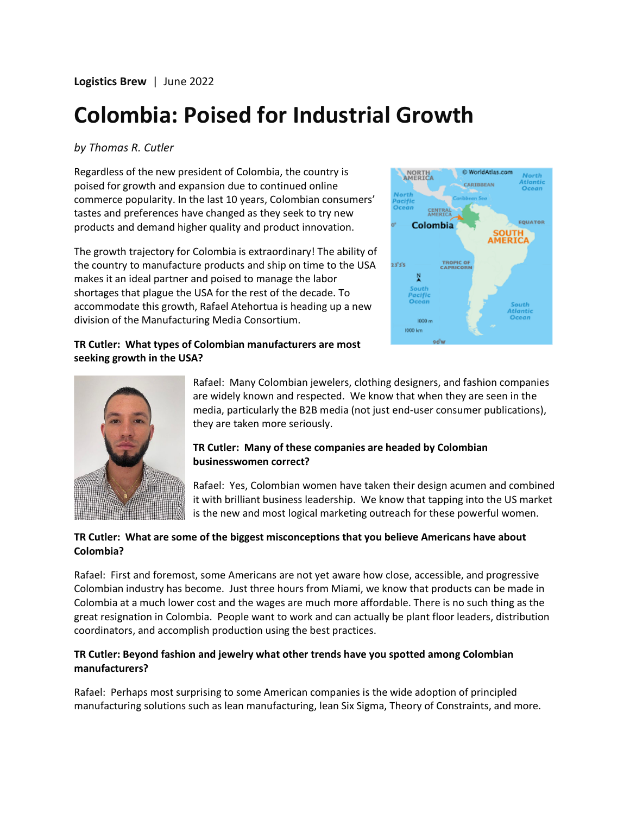**Logistics Brew** | June 2022

# **Colombia: Poised for Industrial Growth**

#### *by Thomas R. Cutler*

Regardless of the new president of Colombia, the country is poised for growth and expansion due to continued online commerce popularity. In the last 10 years, Colombian consumers' tastes and preferences have changed as they seek to try new products and demand higher quality and product innovation.

The growth trajectory for Colombia is extraordinary! The ability of the country to manufacture products and ship on time to the USA makes it an ideal partner and poised to manage the labor shortages that plague the USA for the rest of the decade. To accommodate this growth, Rafael Atehortua is heading up a new division of the Manufacturing Media Consortium.



# **TR Cutler: What types of Colombian manufacturers are most seeking growth in the USA?**



Rafael: Many Colombian jewelers, clothing designers, and fashion companies are widely known and respected. We know that when they are seen in the media, particularly the B2B media (not just end-user consumer publications), they are taken more seriously.

#### **TR Cutler: Many of these companies are headed by Colombian businesswomen correct?**

Rafael: Yes, Colombian women have taken their design acumen and combined it with brilliant business leadership. We know that tapping into the US market is the new and most logical marketing outreach for these powerful women.

# **TR Cutler: What are some of the biggest misconceptions that you believe Americans have about Colombia?**

Rafael: First and foremost, some Americans are not yet aware how close, accessible, and progressive Colombian industry has become. Just three hours from Miami, we know that products can be made in Colombia at a much lower cost and the wages are much more affordable. There is no such thing as the great resignation in Colombia. People want to work and can actually be plant floor leaders, distribution coordinators, and accomplish production using the best practices.

# **TR Cutler: Beyond fashion and jewelry what other trends have you spotted among Colombian manufacturers?**

Rafael: Perhaps most surprising to some American companies is the wide adoption of principled manufacturing solutions such as lean manufacturing, lean Six Sigma, Theory of Constraints, and more.